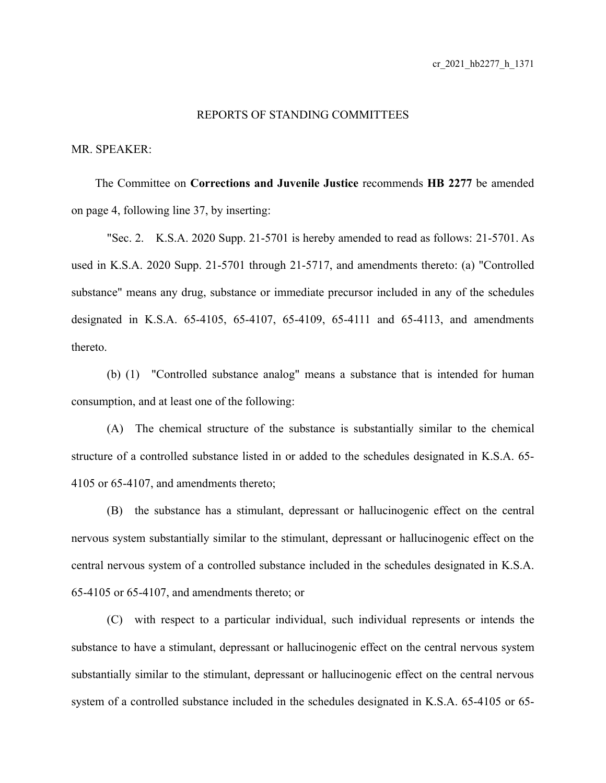## REPORTS OF STANDING COMMITTEES

## MR. SPEAKER:

The Committee on **Corrections and Juvenile Justice** recommends **HB 2277** be amended on page 4, following line 37, by inserting:

"Sec. 2. K.S.A. 2020 Supp. 21-5701 is hereby amended to read as follows: 21-5701. As used in K.S.A. 2020 Supp. 21-5701 through 21-5717, and amendments thereto: (a) "Controlled substance" means any drug, substance or immediate precursor included in any of the schedules designated in K.S.A. 65-4105, 65-4107, 65-4109, 65-4111 and 65-4113, and amendments thereto.

(b) (1) "Controlled substance analog" means a substance that is intended for human consumption, and at least one of the following:

(A) The chemical structure of the substance is substantially similar to the chemical structure of a controlled substance listed in or added to the schedules designated in K.S.A. 65- 4105 or 65-4107, and amendments thereto;

(B) the substance has a stimulant, depressant or hallucinogenic effect on the central nervous system substantially similar to the stimulant, depressant or hallucinogenic effect on the central nervous system of a controlled substance included in the schedules designated in K.S.A. 65-4105 or 65-4107, and amendments thereto; or

(C) with respect to a particular individual, such individual represents or intends the substance to have a stimulant, depressant or hallucinogenic effect on the central nervous system substantially similar to the stimulant, depressant or hallucinogenic effect on the central nervous system of a controlled substance included in the schedules designated in K.S.A. 65-4105 or 65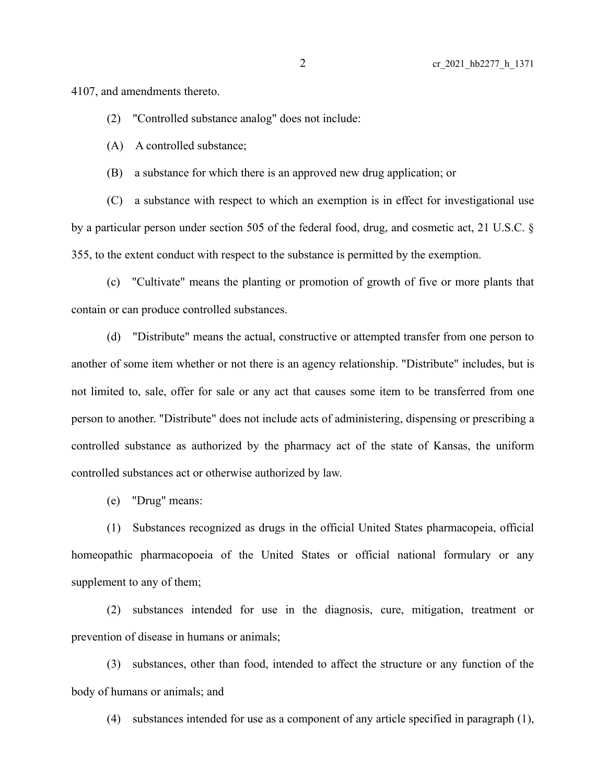4107, and amendments thereto.

(2) "Controlled substance analog" does not include:

(A) A controlled substance;

(B) a substance for which there is an approved new drug application; or

(C) a substance with respect to which an exemption is in effect for investigational use by a particular person under section 505 of the federal food, drug, and cosmetic act, 21 U.S.C. § 355, to the extent conduct with respect to the substance is permitted by the exemption.

(c) "Cultivate" means the planting or promotion of growth of five or more plants that contain or can produce controlled substances.

(d) "Distribute" means the actual, constructive or attempted transfer from one person to another of some item whether or not there is an agency relationship. "Distribute" includes, but is not limited to, sale, offer for sale or any act that causes some item to be transferred from one person to another. "Distribute" does not include acts of administering, dispensing or prescribing a controlled substance as authorized by the pharmacy act of the state of Kansas, the uniform controlled substances act or otherwise authorized by law.

(e) "Drug" means:

(1) Substances recognized as drugs in the official United States pharmacopeia, official homeopathic pharmacopoeia of the United States or official national formulary or any supplement to any of them;

(2) substances intended for use in the diagnosis, cure, mitigation, treatment or prevention of disease in humans or animals;

(3) substances, other than food, intended to affect the structure or any function of the body of humans or animals; and

(4) substances intended for use as a component of any article specified in paragraph (1),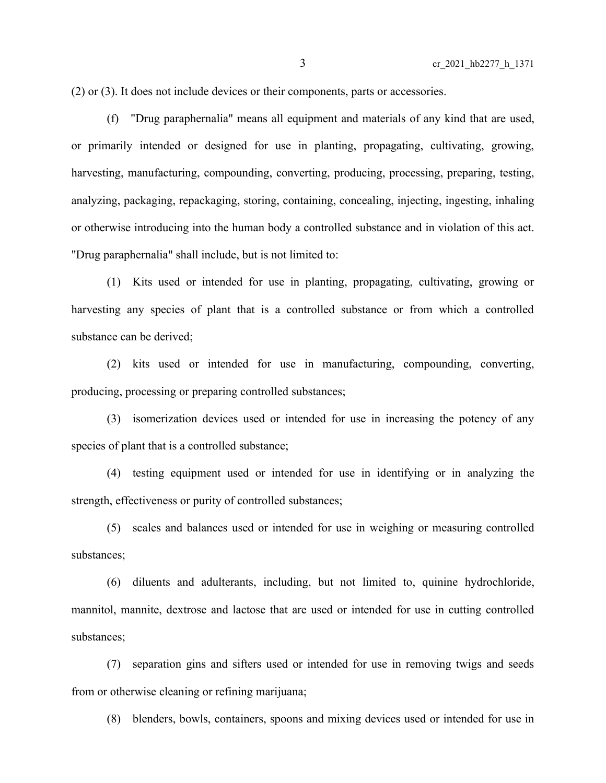(2) or (3). It does not include devices or their components, parts or accessories.

(f) "Drug paraphernalia" means all equipment and materials of any kind that are used, or primarily intended or designed for use in planting, propagating, cultivating, growing, harvesting, manufacturing, compounding, converting, producing, processing, preparing, testing, analyzing, packaging, repackaging, storing, containing, concealing, injecting, ingesting, inhaling or otherwise introducing into the human body a controlled substance and in violation of this act. "Drug paraphernalia" shall include, but is not limited to:

(1) Kits used or intended for use in planting, propagating, cultivating, growing or harvesting any species of plant that is a controlled substance or from which a controlled substance can be derived;

(2) kits used or intended for use in manufacturing, compounding, converting, producing, processing or preparing controlled substances;

(3) isomerization devices used or intended for use in increasing the potency of any species of plant that is a controlled substance;

(4) testing equipment used or intended for use in identifying or in analyzing the strength, effectiveness or purity of controlled substances;

(5) scales and balances used or intended for use in weighing or measuring controlled substances;

(6) diluents and adulterants, including, but not limited to, quinine hydrochloride, mannitol, mannite, dextrose and lactose that are used or intended for use in cutting controlled substances;

(7) separation gins and sifters used or intended for use in removing twigs and seeds from or otherwise cleaning or refining marijuana;

(8) blenders, bowls, containers, spoons and mixing devices used or intended for use in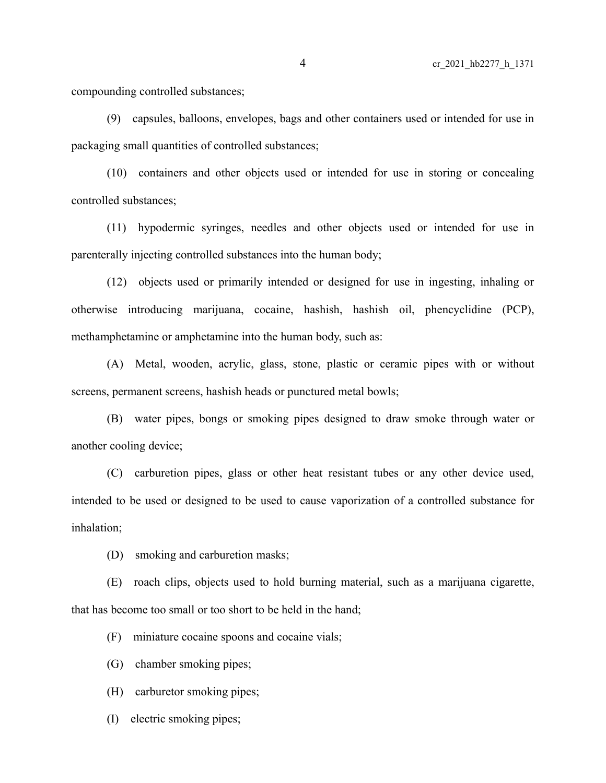compounding controlled substances;

(9) capsules, balloons, envelopes, bags and other containers used or intended for use in packaging small quantities of controlled substances;

(10) containers and other objects used or intended for use in storing or concealing controlled substances;

(11) hypodermic syringes, needles and other objects used or intended for use in parenterally injecting controlled substances into the human body;

(12) objects used or primarily intended or designed for use in ingesting, inhaling or otherwise introducing marijuana, cocaine, hashish, hashish oil, phencyclidine (PCP), methamphetamine or amphetamine into the human body, such as:

(A) Metal, wooden, acrylic, glass, stone, plastic or ceramic pipes with or without screens, permanent screens, hashish heads or punctured metal bowls;

(B) water pipes, bongs or smoking pipes designed to draw smoke through water or another cooling device;

(C) carburetion pipes, glass or other heat resistant tubes or any other device used, intended to be used or designed to be used to cause vaporization of a controlled substance for inhalation;

(D) smoking and carburetion masks;

(E) roach clips, objects used to hold burning material, such as a marijuana cigarette, that has become too small or too short to be held in the hand;

(F) miniature cocaine spoons and cocaine vials;

(G) chamber smoking pipes;

(H) carburetor smoking pipes;

(I) electric smoking pipes;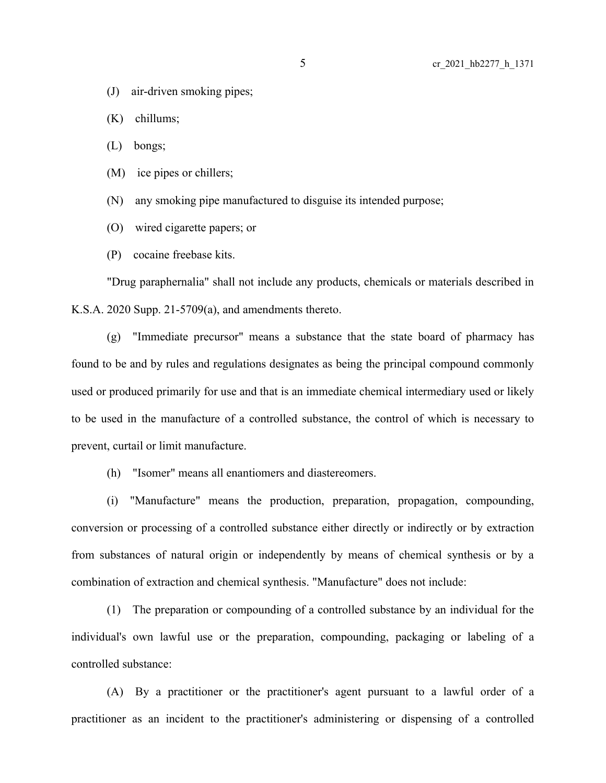(J) air-driven smoking pipes;

(K) chillums;

(L) bongs;

(M) ice pipes or chillers;

(N) any smoking pipe manufactured to disguise its intended purpose;

(O) wired cigarette papers; or

(P) cocaine freebase kits.

"Drug paraphernalia" shall not include any products, chemicals or materials described in K.S.A. 2020 Supp. 21-5709(a), and amendments thereto.

(g) "Immediate precursor" means a substance that the state board of pharmacy has found to be and by rules and regulations designates as being the principal compound commonly used or produced primarily for use and that is an immediate chemical intermediary used or likely to be used in the manufacture of a controlled substance, the control of which is necessary to prevent, curtail or limit manufacture.

(h) "Isomer" means all enantiomers and diastereomers.

(i) "Manufacture" means the production, preparation, propagation, compounding, conversion or processing of a controlled substance either directly or indirectly or by extraction from substances of natural origin or independently by means of chemical synthesis or by a combination of extraction and chemical synthesis. "Manufacture" does not include:

(1) The preparation or compounding of a controlled substance by an individual for the individual's own lawful use or the preparation, compounding, packaging or labeling of a controlled substance:

(A) By a practitioner or the practitioner's agent pursuant to a lawful order of a practitioner as an incident to the practitioner's administering or dispensing of a controlled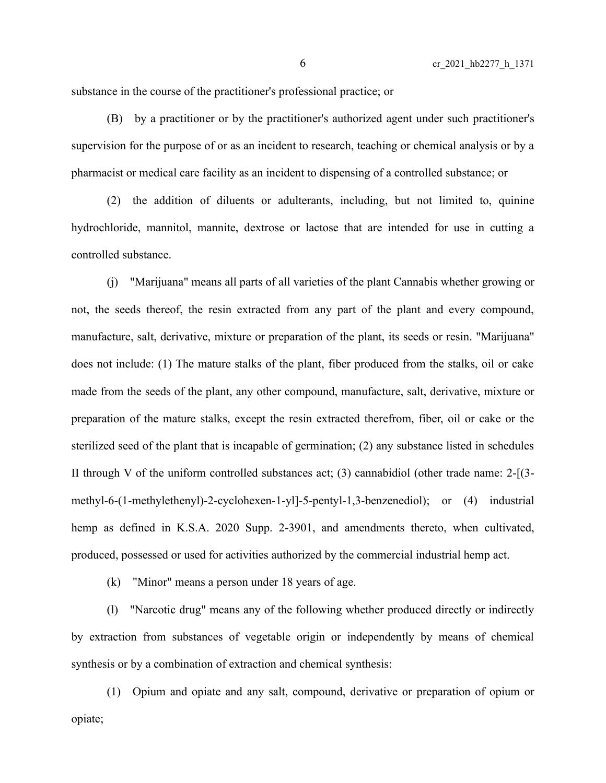substance in the course of the practitioner's professional practice; or

(B) by a practitioner or by the practitioner's authorized agent under such practitioner's supervision for the purpose of or as an incident to research, teaching or chemical analysis or by a pharmacist or medical care facility as an incident to dispensing of a controlled substance; or

(2) the addition of diluents or adulterants, including, but not limited to, quinine hydrochloride, mannitol, mannite, dextrose or lactose that are intended for use in cutting a controlled substance.

(j) "Marijuana" means all parts of all varieties of the plant Cannabis whether growing or not, the seeds thereof, the resin extracted from any part of the plant and every compound, manufacture, salt, derivative, mixture or preparation of the plant, its seeds or resin. "Marijuana" does not include: (1) The mature stalks of the plant, fiber produced from the stalks, oil or cake made from the seeds of the plant, any other compound, manufacture, salt, derivative, mixture or preparation of the mature stalks, except the resin extracted therefrom, fiber, oil or cake or the sterilized seed of the plant that is incapable of germination; (2) any substance listed in schedules II through V of the uniform controlled substances act; (3) cannabidiol (other trade name: 2-[(3 methyl-6-(1-methylethenyl)-2-cyclohexen-1-yl]-5-pentyl-1,3-benzenediol); or (4) industrial hemp as defined in K.S.A. 2020 Supp. 2-3901, and amendments thereto, when cultivated, produced, possessed or used for activities authorized by the commercial industrial hemp act.

(k) "Minor" means a person under 18 years of age.

(l) "Narcotic drug" means any of the following whether produced directly or indirectly by extraction from substances of vegetable origin or independently by means of chemical synthesis or by a combination of extraction and chemical synthesis:

(1) Opium and opiate and any salt, compound, derivative or preparation of opium or opiate;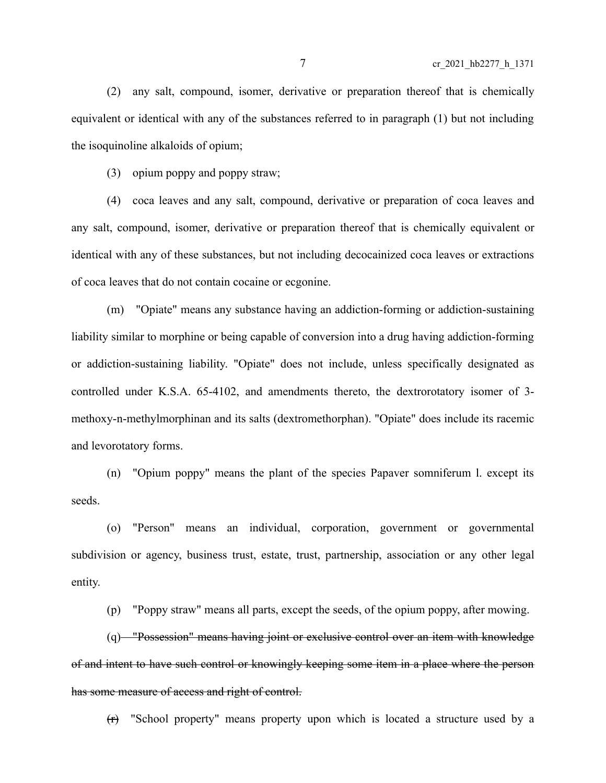(2) any salt, compound, isomer, derivative or preparation thereof that is chemically equivalent or identical with any of the substances referred to in paragraph (1) but not including the isoquinoline alkaloids of opium;

(3) opium poppy and poppy straw;

(4) coca leaves and any salt, compound, derivative or preparation of coca leaves and any salt, compound, isomer, derivative or preparation thereof that is chemically equivalent or identical with any of these substances, but not including decocainized coca leaves or extractions of coca leaves that do not contain cocaine or ecgonine.

(m) "Opiate" means any substance having an addiction-forming or addiction-sustaining liability similar to morphine or being capable of conversion into a drug having addiction-forming or addiction-sustaining liability. "Opiate" does not include, unless specifically designated as controlled under K.S.A. 65-4102, and amendments thereto, the dextrorotatory isomer of 3 methoxy-n-methylmorphinan and its salts (dextromethorphan). "Opiate" does include its racemic and levorotatory forms.

(n) "Opium poppy" means the plant of the species Papaver somniferum l. except its seeds.

(o) "Person" means an individual, corporation, government or governmental subdivision or agency, business trust, estate, trust, partnership, association or any other legal entity.

(p) "Poppy straw" means all parts, except the seeds, of the opium poppy, after mowing.

(q) "Possession" means having joint or exclusive control over an item with knowledge of and intent to have such control or knowingly keeping some item in a place where the person has some measure of access and right of control.

(r) "School property" means property upon which is located a structure used by a